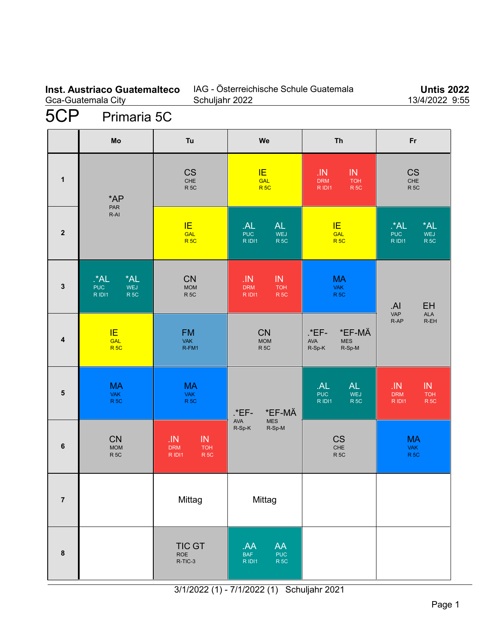## **Inst. Austriaco Guatemalteco** Gca-Guatemala City

## IAG - Österreichische Schule Guatemala Schuljahr 2022

**Untis 2022** 13/4/2022 9:55

# 5CP Primaria 5C

|                         | Mo                                                         | Tu                                                                 | We                                                                 | Th                                                                 | Fr                                                                     |
|-------------------------|------------------------------------------------------------|--------------------------------------------------------------------|--------------------------------------------------------------------|--------------------------------------------------------------------|------------------------------------------------------------------------|
| $\mathbf{1}$            | *AP<br>PAR<br>$R-AI$                                       | <b>CS</b><br>$CHE$<br>R <sub>5C</sub>                              | IE.<br><b>GAL</b><br>R <sub>5C</sub>                               | .IN<br>IN<br><b>DRM</b><br><b>TOH</b><br>R IDI1<br>R <sub>5C</sub> | <b>CS</b><br>CHE<br>R <sub>5C</sub>                                    |
| $\overline{\mathbf{2}}$ |                                                            | IE<br>GAL<br>R <sub>5C</sub>                                       | AL<br>AL<br><b>PUC</b><br>WEJ<br>R IDI1<br>R <sub>5C</sub>         | IE.<br>GAL<br><b>R5C</b>                                           | *AL<br>$^{\star}$ AL<br>WEJ<br><b>PUC</b><br>R IDI1<br>R <sub>5C</sub> |
| $\mathbf{3}$            | *AL<br>$A^*A$<br><b>PUC</b><br>WEJ<br>R IDI1<br><b>R5C</b> | <b>CN</b><br>MOM<br>R <sub>5C</sub>                                | .IN<br>IN<br><b>DRM</b><br><b>TOH</b><br>R <sub>5C</sub><br>R IDI1 | <b>MA</b><br><b>VAK</b><br>R <sub>5C</sub>                         | EH<br>.AI                                                              |
| $\overline{\mathbf{4}}$ | IE<br>GAL<br>R <sub>5C</sub>                               | <b>FM</b><br><b>VAK</b><br>R-FM1                                   | <b>CN</b><br><b>MOM</b><br>R <sub>5C</sub>                         | *EF-MÄ<br>.*EF-<br><b>AVA</b><br><b>MES</b><br>R-Sp-K<br>R-Sp-M    | VAP<br><b>ALA</b><br>R-EH<br>$R-AP$                                    |
| $5\phantom{.0}$         | <b>MA</b><br><b>VAK</b><br><b>R5C</b>                      | <b>MA</b><br><b>VAK</b><br>R <sub>5C</sub>                         | *EF-MÄ<br>$*EF-$                                                   | AL<br><b>AL</b><br><b>PUC</b><br>WEJ<br>R IDI1<br>R <sub>5C</sub>  | JN<br>$\sf IN$<br><b>DRM</b><br><b>TOH</b><br>R <sub>5C</sub><br>RIDI1 |
| 6                       | <b>CN</b><br><b>MOM</b><br>R <sub>5C</sub>                 | .1N<br>IN<br><b>TOH</b><br><b>DRM</b><br>R <sub>5C</sub><br>R IDI1 | AVA<br>MES<br>$R-Sp-K$<br>R-Sp-M                                   | <b>CS</b><br>CHE<br>R <sub>5C</sub>                                | <b>MA</b><br><b>VAK</b><br>R <sub>5C</sub>                             |
| $\overline{7}$          |                                                            | Mittag                                                             | Mittag                                                             |                                                                    |                                                                        |
| 8                       |                                                            | <b>TIC GT</b><br>ROE<br>R-TIC-3                                    | AA<br>AA.<br><b>BAF</b><br>PUC<br>R 5C<br>R IDI1                   |                                                                    |                                                                        |

3/1/2022 (1) - 7/1/2022 (1) Schuljahr 2021